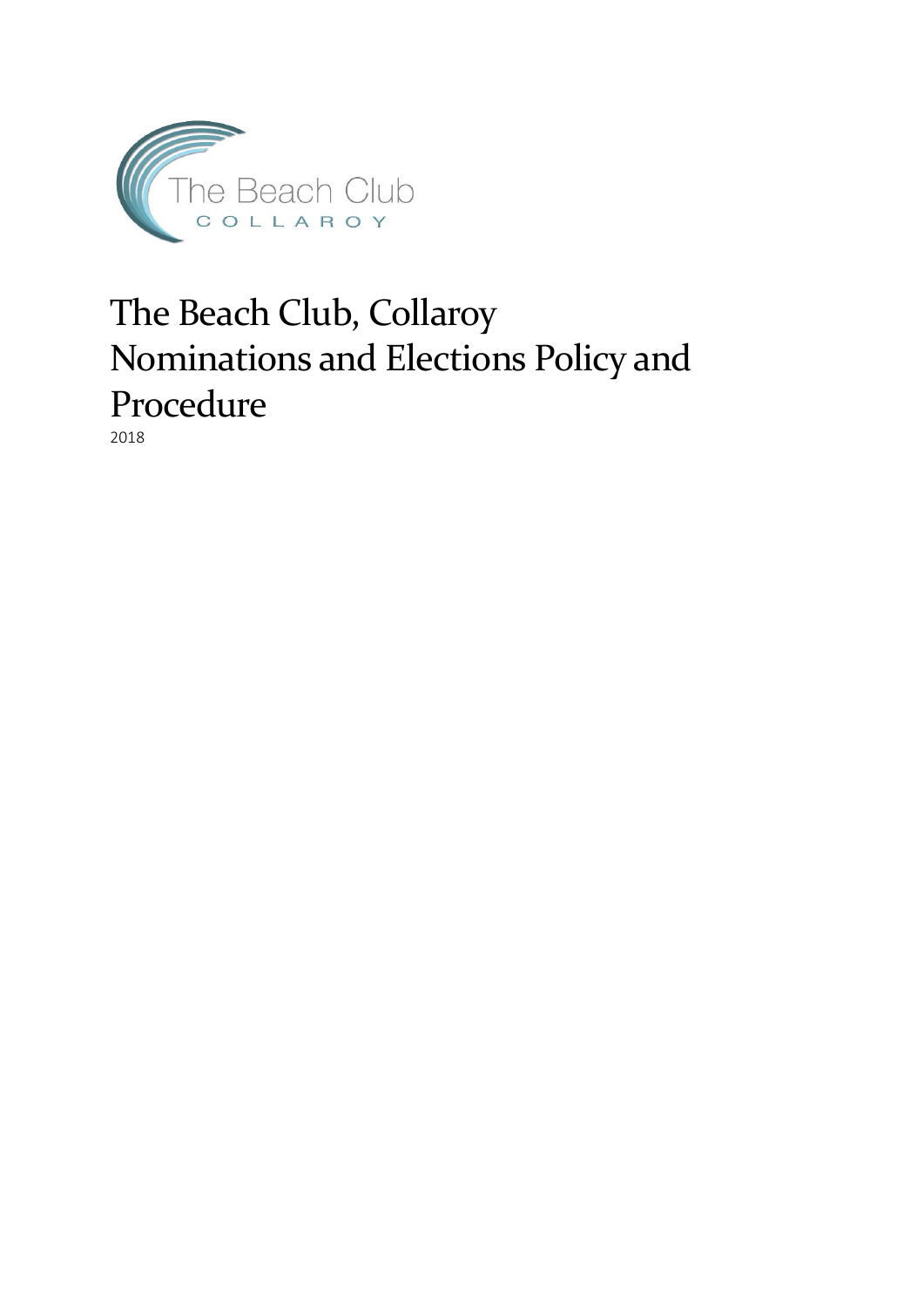

# The Beach Club, Collaroy Nominations and Elections Policy and Procedure

2018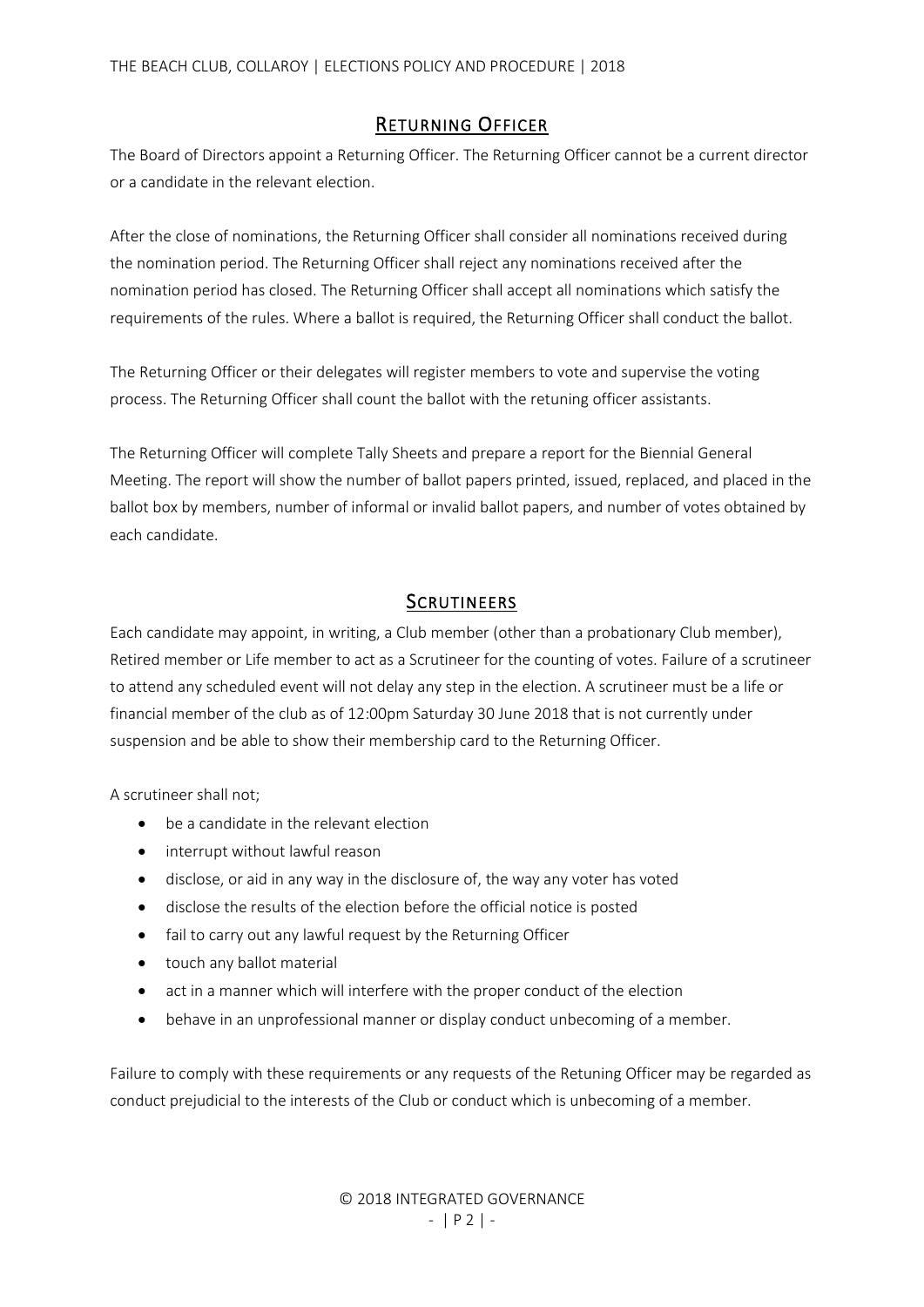#### RETURNING OFFICER

The Board of Directors appoint a Returning Officer. The Returning Officer cannot be a current director or a candidate in the relevant election.

After the close of nominations, the Returning Officer shall consider all nominations received during the nomination period. The Returning Officer shall reject any nominations received after the nomination period has closed. The Returning Officer shall accept all nominations which satisfy the requirements of the rules. Where a ballot is required, the Returning Officer shall conduct the ballot.

The Returning Officer or their delegates will register members to vote and supervise the voting process. The Returning Officer shall count the ballot with the retuning officer assistants.

The Returning Officer will complete Tally Sheets and prepare a report for the Biennial General Meeting. The report will show the number of ballot papers printed, issued, replaced, and placed in the ballot box by members, number of informal or invalid ballot papers, and number of votes obtained by each candidate.

### **SCRUTINEERS**

Each candidate may appoint, in writing, a Club member (other than a probationary Club member), Retired member or Life member to act as a Scrutineer for the counting of votes. Failure of a scrutineer to attend any scheduled event will not delay any step in the election. A scrutineer must be a life or financial member of the club as of 12:00pm Saturday 30 June 2018 that is not currently under suspension and be able to show their membership card to the Returning Officer.

A scrutineer shall not;

- be a candidate in the relevant election
- interrupt without lawful reason
- disclose, or aid in any way in the disclosure of, the way any voter has voted
- disclose the results of the election before the official notice is posted
- fail to carry out any lawful request by the Returning Officer
- touch any ballot material
- act in a manner which will interfere with the proper conduct of the election
- behave in an unprofessional manner or display conduct unbecoming of a member.

Failure to comply with these requirements or any requests of the Retuning Officer may be regarded as conduct prejudicial to the interests of the Club or conduct which is unbecoming of a member.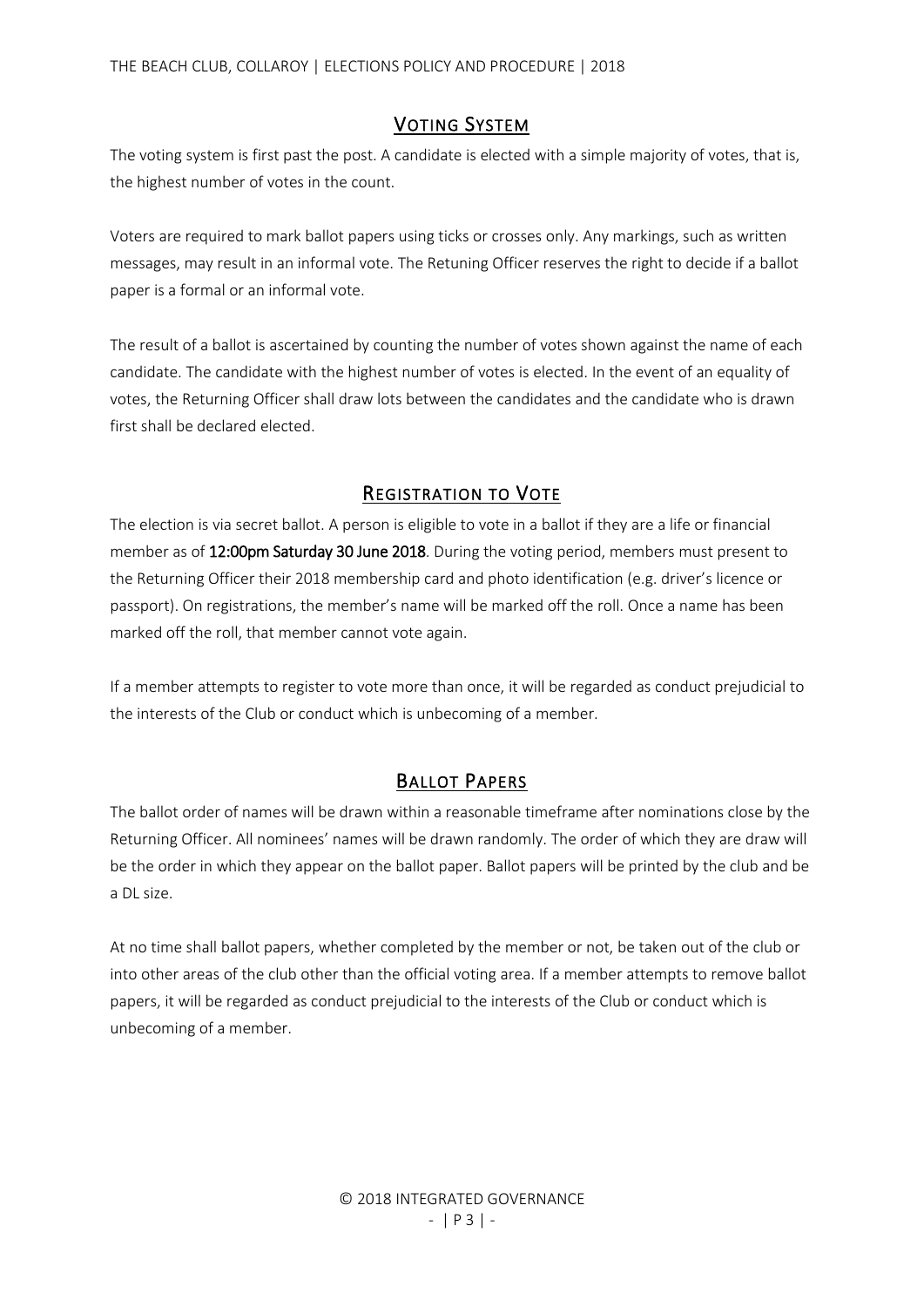### VOTING SYSTEM

The voting system is first past the post. A candidate is elected with a simple majority of votes, that is, the highest number of votes in the count.

Voters are required to mark ballot papers using ticks or crosses only. Any markings, such as written messages, may result in an informal vote. The Retuning Officer reserves the right to decide if a ballot paper is a formal or an informal vote.

The result of a ballot is ascertained by counting the number of votes shown against the name of each candidate. The candidate with the highest number of votes is elected. In the event of an equality of votes, the Returning Officer shall draw lots between the candidates and the candidate who is drawn first shall be declared elected.

## REGISTRATION TO VOTE

The election is via secret ballot. A person is eligible to vote in a ballot if they are a life or financial member as of 12:00pm Saturday 30 June 2018. During the voting period, members must present to the Returning Officer their 2018 membership card and photo identification (e.g. driver's licence or passport). On registrations, the member's name will be marked off the roll. Once a name has been marked off the roll, that member cannot vote again.

If a member attempts to register to vote more than once, it will be regarded as conduct prejudicial to the interests of the Club or conduct which is unbecoming of a member.

# BALLOT PAPERS

The ballot order of names will be drawn within a reasonable timeframe after nominations close by the Returning Officer. All nominees' names will be drawn randomly. The order of which they are draw will be the order in which they appear on the ballot paper. Ballot papers will be printed by the club and be a DL size.

At no time shall ballot papers, whether completed by the member or not, be taken out of the club or into other areas of the club other than the official voting area. If a member attempts to remove ballot papers, it will be regarded as conduct prejudicial to the interests of the Club or conduct which is unbecoming of a member.